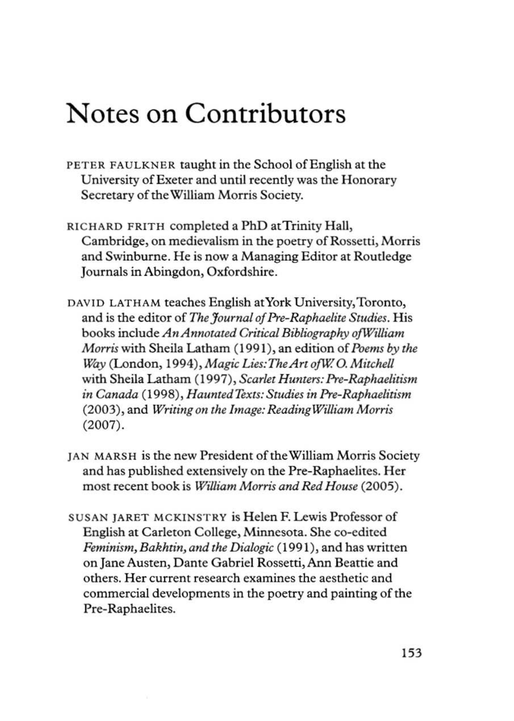## Notes on Contributors

- PETER FAULKNER taught in the School of English at the University of Exerer and until recently was the Honorary Secretary of the William Morris Society.
- RICHARD FRITH completed a PhD at Trinity Hall, Cambridge, on medievalism in the poetry of Rossetti, Morris and Swinburne. He is now a Managing Editor at Routledge Journals in Abingdon, Oxfordshire.
- DAVID LATHAM teaches English atYork University,Toronto, and is the editor of *The J ournal of Pre-Raphaelite Swdies.* His books include *An Annotated Critical Bibliography of William Morris* with Sheila Latham (199 I), an edition of *Poems* by *the way* (London, 1994), *Magic Lies:TheArt ojW* 0. *<sup>M</sup> ilchel/*  with Sheila Latham (1997), *Scarlet Hunters: Pre-Raphaelitism in Canada* ( 1998), *HaunredTexlS: Studies in Pre-Raphaelitism*  (2003), and *Writing on the Image: Reading William Morris* (2007).
- JAN MARSH is the new President of the William Morris Society and has published extensively on the Pre-Raphaelites. Her most recent book is *William Morris and Red House* (2005).
- SUSAN JARET MCKINSTRY is Helen F. Lewis Professor of English at Carleton College, Minnesota. She co-edited *Feminism, Bakhtin, and the Dialogic* (1991), and has written on Jane Austen, Dante Gabriel Rossetti, Ann Beattie and others. Her current research examines the aesthetic and commercial developments in the poetry and painting of the Pre-Raphaelites.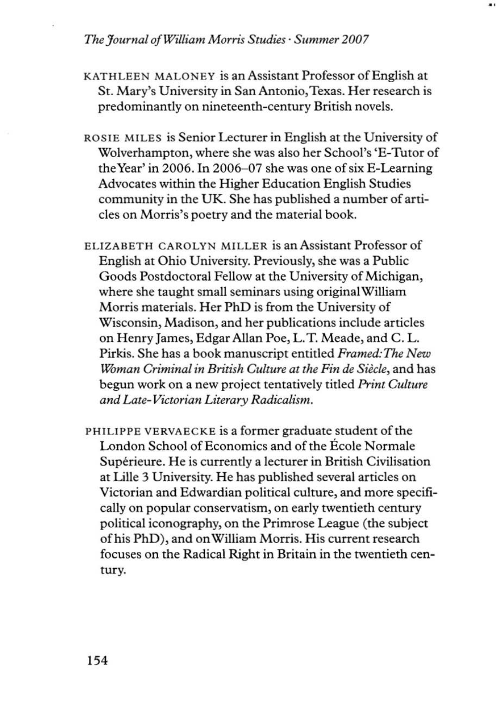## *The Journal ofWilliam Morris Szudies· Summer 2007*

- KATHLEEN MALONEY is an Assistant Professor of English at St. Mary's University in San Antonio, Texas. Her research is predominantly on nineteenth-century British novels.
- ROSIE MILES is Senior Lecturer in English at the University of Wolverhampton, where she was also her School's 'E-Tutor of the Year' in 2006. In 2006-07 she was one of six E-Learning Advocates within the Higher Education English Studies community in the UK. She has published a number of articles on Morris's poetry and the material book.
- ELIZABETH CAROLYN MILLER is an Assistant Professor of English at Ohio University. Previously, she was a Public Goods Postdoctoral Fellow at the University of Michigan, where she taught small seminars using original William Morris materials. Hcr PhD is from the University of Wisconsin, Madison, and her publications include articles on Henry James, Edgar AlIan Poe, L. T. Meade, and C. L. Pirkis. She has a book manuscript entitled *Framed: The New l.%man Criminal in Bn·zish Culzure azthe Fin de Siecle,* and has begun work on a new project tentatively titled *Print Culture and Laze-Victon·an Literary Radicalism.*
- PHILIPPE VERVAECKE is a former graduate student of the London School of Economics and of the Ecole Normale Supérieure. He is currently a lecturer in British Civilisation at Lille 3 University. He has published several articles on Victorian and Edwardian pOlitical culture, and more specifically on popular conservatism, on early twentieth century political iconography, on the Primrose League (the subject of his PhD), and on WilIiam Morris. His current research focuses on the Radical Right in Britain in the twentieth century.